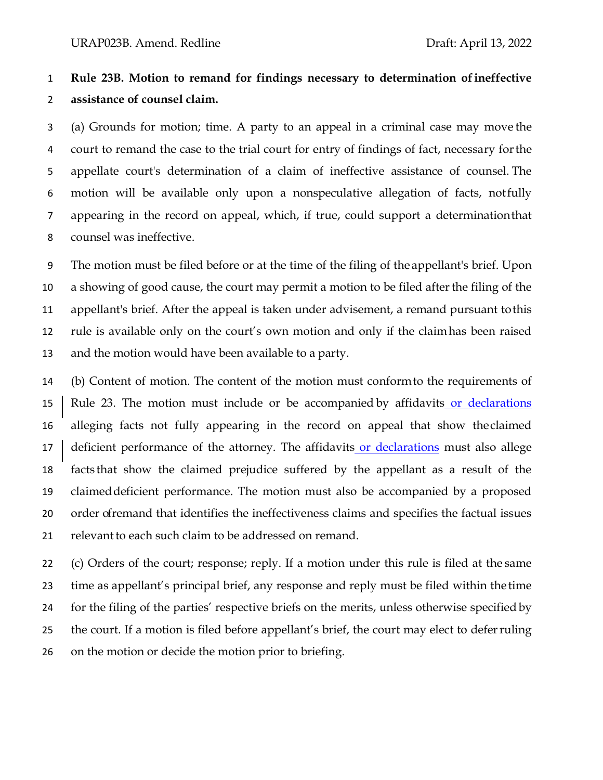## **Rule 23B. Motion to remand for findings necessary to determination ofineffective assistance of counsel claim.**

 (a) Grounds for motion; time. A party to an appeal in a criminal case may move the court to remand the case to the trial court for entry of findings of fact, necessary forthe appellate court's determination of a claim of ineffective assistance of counsel. The motion will be available only upon a nonspeculative allegation of facts, notfully appearing in the record on appeal, which, if true, could support a determinationthat counsel was ineffective.

 The motion must be filed before or at the time of the filing of the appellant's brief. Upon a showing of good cause, the court may permit a motion to be filed afterthe filing of the appellant's brief. After the appeal is taken under advisement, a remand pursuant tothis rule is available only on the court's own motion and only if the claimhas been raised and the motion would have been available to a party.

 (b) Content of motion. The content of the motion must conformto the requirements of Rule 23. The motion must include or be accompanied by affidavits or declarations alleging facts not fully appearing in the record on appeal that show theclaimed 17 deficient performance of the attorney. The affidavits or declarations must also allege facts that show the claimed prejudice suffered by the appellant as a result of the claimeddeficient performance. The motion must also be accompanied by a proposed order ofremand that identifies the ineffectiveness claims and specifies the factual issues 21 relevant to each such claim to be addressed on remand.

 (c) Orders of the court; response; reply. If a motion under this rule is filed at the same time as appellant's principal brief, any response and reply must be filed within the time for the filing of the parties' respective briefs on the merits, unless otherwise specifiedby the court. If a motion is filed before appellant's brief, the court may elect to deferruling on the motion or decide the motion prior to briefing.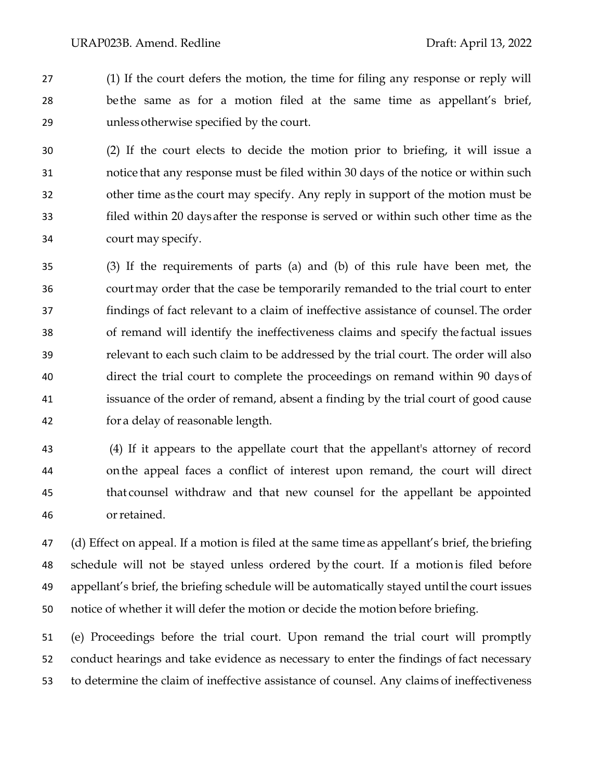(1) If the court defers the motion, the time for filing any response or reply will bethe same as for a motion filed at the same time as appellant's brief, unlessotherwise specified by the court.

 (2) If the court elects to decide the motion prior to briefing, it will issue a notice that any response must be filed within 30 days of the notice or within such other time as the court may specify. Any reply in support of the motion must be filed within 20 days after the response is served or within such other time as the court may specify.

 (3) If the requirements of parts (a) and (b) of this rule have been met, the courtmay order that the case be temporarily remanded to the trial court to enter findings of fact relevant to a claim of ineffective assistance of counsel. The order of remand will identify the ineffectiveness claims and specify the factual issues relevant to each such claim to be addressed by the trial court. The order will also direct the trial court to complete the proceedings on remand within 90 days of issuance of the order of remand, absent a finding by the trial court of good cause for a delay of reasonable length.

 (4) If it appears to the appellate court that the appellant's attorney of record on the appeal faces a conflict of interest upon remand, the court will direct that counsel withdraw and that new counsel for the appellant be appointed orretained.

 (d) Effect on appeal. If a motion is filed at the same time as appellant's brief, the briefing schedule will not be stayed unless ordered bythe court. If a motionis filed before appellant's brief, the briefing schedule will be automatically stayed untilthe court issues notice of whether it will defer the motion or decide the motion before briefing.

 (e) Proceedings before the trial court. Upon remand the trial court will promptly conduct hearings and take evidence as necessary to enter the findings of fact necessary to determine the claim of ineffective assistance of counsel. Any claims of ineffectiveness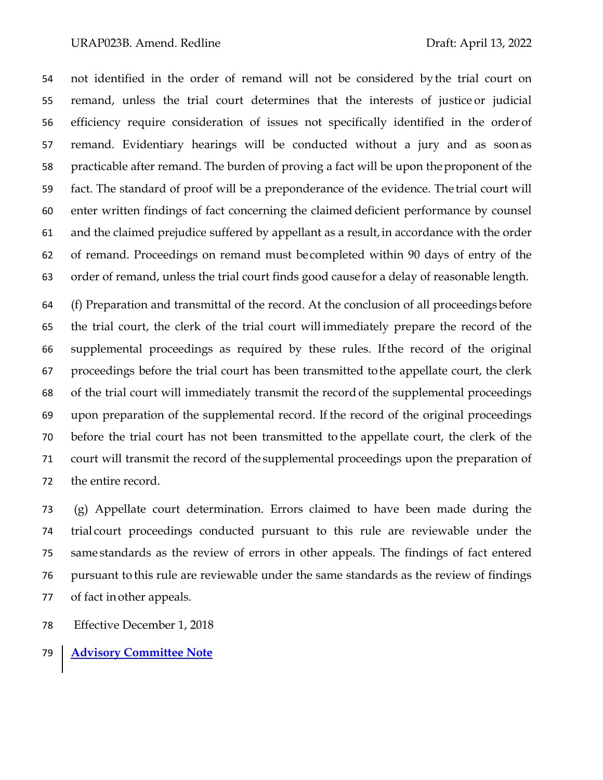## URAP023B. Amend. Redline Draft: April 13, 2022

 not identified in the order of remand will not be considered by the trial court on remand, unless the trial court determines that the interests of justice or judicial efficiency require consideration of issues not specifically identified in the orderof remand. Evidentiary hearings will be conducted without a jury and as soon as practicable after remand. The burden of proving a fact will be upon theproponent of the fact. The standard of proof will be a preponderance of the evidence. The trial court will enter written findings of fact concerning the claimed deficient performance by counsel and the claimed prejudice suffered by appellant as a result,in accordance with the order of remand. Proceedings on remand must be completed within 90 days of entry of the order of remand, unless the trial court finds good causefor a delay of reasonable length.

 (f) Preparation and transmittal of the record. At the conclusion of all proceedings before the trial court, the clerk of the trial court will immediately prepare the record of the supplemental proceedings as required by these rules. Ifthe record of the original proceedings before the trial court has been transmitted tothe appellate court, the clerk of the trial court will immediately transmit the record of the supplemental proceedings upon preparation of the supplemental record. If the record of the original proceedings before the trial court has not been transmitted to the appellate court, the clerk of the court will transmit the record of the supplemental proceedings upon the preparation of the entire record.

 (g) Appellate court determination. Errors claimed to have been made during the trial court proceedings conducted pursuant to this rule are reviewable under the same standards as the review of errors in other appeals. The findings of fact entered pursuant to this rule are reviewable under the same standards as the review of findings of fact inother appeals.

- Effective December 1, 2018
- **Advisory Committee Note**